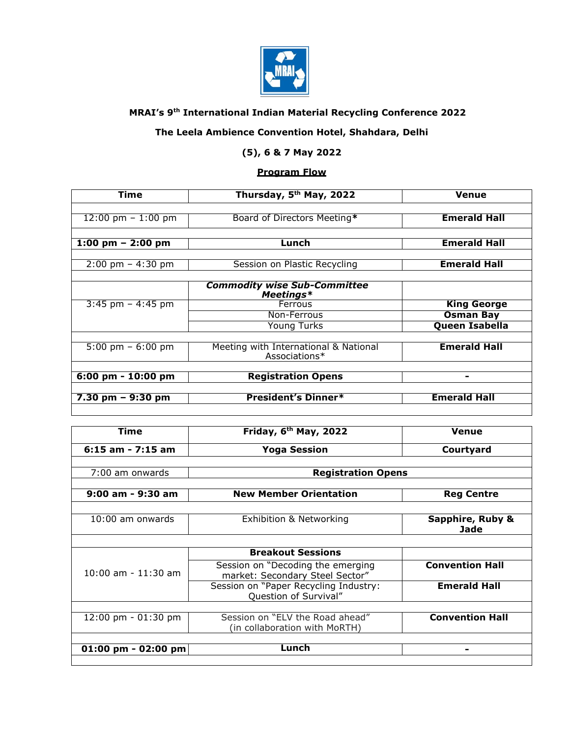

## **MRAI's 9th International Indian Material Recycling Conference 2022**

## **The Leela Ambience Convention Hotel, Shahdara, Delhi**

## **(5), 6 & 7 May 2022**

## **Program Flow**

| Time                                | Thursday, 5 <sup>th</sup> May, 2022                    | Venue                 |
|-------------------------------------|--------------------------------------------------------|-----------------------|
|                                     |                                                        |                       |
| 12:00 pm $-1:00$ pm                 | Board of Directors Meeting*                            | <b>Emerald Hall</b>   |
|                                     |                                                        |                       |
| 1:00 pm $-$ 2:00 pm                 | Lunch                                                  | <b>Emerald Hall</b>   |
|                                     |                                                        |                       |
| $2:00 \text{ pm} - 4:30 \text{ pm}$ | Session on Plastic Recycling                           | <b>Emerald Hall</b>   |
|                                     |                                                        |                       |
|                                     | <b>Commodity wise Sub-Committee</b><br>Meetings*       |                       |
| $3:45$ pm $-4:45$ pm                | Ferrous                                                | <b>King George</b>    |
|                                     | Non-Ferrous                                            | <b>Osman Bay</b>      |
|                                     | Young Turks                                            | <b>Queen Isabella</b> |
|                                     |                                                        |                       |
| $5:00 \text{ pm} - 6:00 \text{ pm}$ | Meeting with International & National<br>Associations* | <b>Emerald Hall</b>   |
|                                     |                                                        |                       |
| 6:00 pm - 10:00 pm                  | <b>Registration Opens</b>                              | ۰                     |
|                                     |                                                        |                       |
| $7.30 \text{ pm} - 9:30 \text{ pm}$ | <b>President's Dinner*</b>                             | <b>Emerald Hall</b>   |
|                                     |                                                        |                       |

| Time                                  | Friday, 6 <sup>th</sup> May, 2022                                    | <b>Venue</b>                    |
|---------------------------------------|----------------------------------------------------------------------|---------------------------------|
| $6:15$ am - 7:15 am                   | <b>Yoga Session</b>                                                  | Courtyard                       |
|                                       |                                                                      |                                 |
| 7:00 am onwards                       | <b>Registration Opens</b>                                            |                                 |
|                                       |                                                                      |                                 |
| $9:00$ am - $9:30$ am                 | <b>New Member Orientation</b>                                        | <b>Reg Centre</b>               |
|                                       |                                                                      |                                 |
| $10:00$ am onwards                    | Exhibition & Networking                                              | Sapphire, Ruby &<br><b>Jade</b> |
|                                       |                                                                      |                                 |
| $10:00$ am - $11:30$ am               | <b>Breakout Sessions</b>                                             |                                 |
|                                       | Session on "Decoding the emerging<br>market: Secondary Steel Sector" | <b>Convention Hall</b>          |
|                                       | Session on "Paper Recycling Industry:<br>Question of Survival"       | <b>Emerald Hall</b>             |
|                                       |                                                                      |                                 |
| $12:00 \text{ pm} - 01:30 \text{ pm}$ | Session on "ELV the Road ahead"<br>(in collaboration with MoRTH)     | <b>Convention Hall</b>          |
|                                       |                                                                      |                                 |
| 01:00 pm - 02:00 pm                   | Lunch                                                                |                                 |
|                                       |                                                                      |                                 |